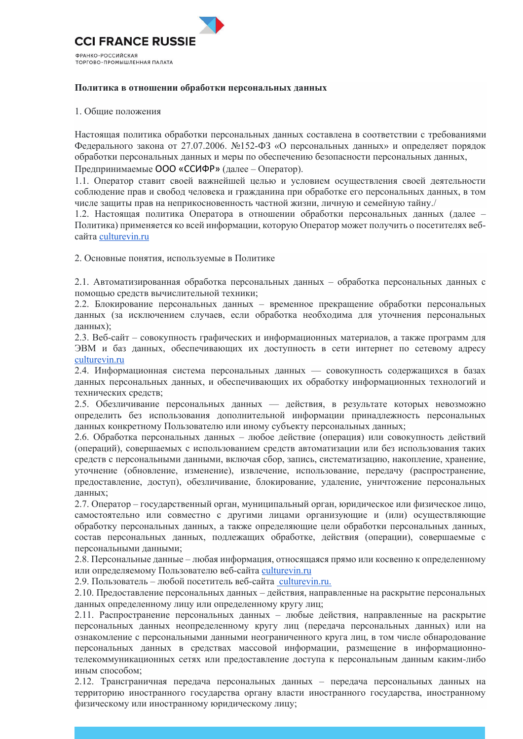

## Политика в отношении обработки персональных данных

## 1. Общие положения

Настоящая политика обработки персональных данных составлена в соответствии с требованиями Федерального закона от 27.07.2006. №152-ФЗ «О персональных данных» и определяет порядок обработки персональных данных и меры по обеспечению безопасности персональных данных, Предпринимаемые ООО «ССИФР» (далее – Оператор).

1.1. Оператор ставит своей важнейшей целью и условием осуществления своей деятельности соблюдение прав и свобод человека и гражданина при обработке его персональных данных, в том числе защиты прав на неприкосновенность частной жизни, личную и семейную тайну./

1.2. Настоящая политика Оператора в отношении обработки персональных данных (далее – Политика) применяется ко всей информации, которую Оператор может получить о посетителях вебcaйта culturevin.ru

2. Основные понятия, используемые в Политике

2.1. Автоматизированная обработка персональных данных - обработка персональных данных с помощью средств вычислительной техники;

2.2. Блокирование персональных данных - временное прекращение обработки персональных данных (за исключением случаев, если обработка необходима для уточнения персональных данных);

2.3. Веб-сайт – совокупность графических и информационных материалов, а также программ для ЭВМ и баз данных, обеспечивающих их доступность в сети интернет по сетевому адресу culturevin.ru

2.4. Информационная система персональных данных — совокупность содержащихся в базах данных персональных данных, и обеспечивающих их обработку информационных технологий и технических средств;

2.5. Обезличивание персональных данных — действия, в результате которых невозможно определить без использования дополнительной информации принадлежность персональных данных конкретному Пользователю или иному субъекту персональных данных;

2.6. Обработка персональных данных - любое действие (операция) или совокупность действий (операций), совершаемых с использованием средств автоматизации или без использования таких средств с персональными данными, включая сбор, запись, систематизацию, накопление, хранение, уточнение (обновление, изменение), извлечение, использование, передачу (распространение, предоставление, доступ), обезличивание, блокирование, удаление, уничтожение персональных ланных:

2.7. Оператор – государственный орган, муниципальный орган, юридическое или физическое лицо, самостоятельно или совместно с другими лицами организующие и (или) осуществляющие обработку персональных данных, а также определяющие цели обработки персональных данных, состав персональных данных, подлежащих обработке, действия (операции), совершаемые с персональными данными;

2.8. Персональные данные – любая информация, относящаяся прямо или косвенно к определенному или определяемому Пользователю веб-сайта culturevin.ru

2.9. Пользователь – любой посетитель веб-сайта culturevin.ru.

2.10. Предоставление персональных данных – действия, направленные на раскрытие персональных данных определенному лицу или определенному кругу лиц;

2.11. Распространение персональных данных - любые действия, направленные на раскрытие персональных данных неопределенному кругу лиц (передача персональных данных) или на ознакомление с персональными данными неограниченного круга лиц, в том числе обнародование персональных данных в средствах массовой информации, размещение в информационнотелекоммуникационных сетях или предоставление доступа к персональным данным каким-либо иным способом:

2.12. Трансграничная передача персональных данных - передача персональных данных на территорию иностранного государства органу власти иностранного государства, иностранному физическому или иностранному юридическому лицу;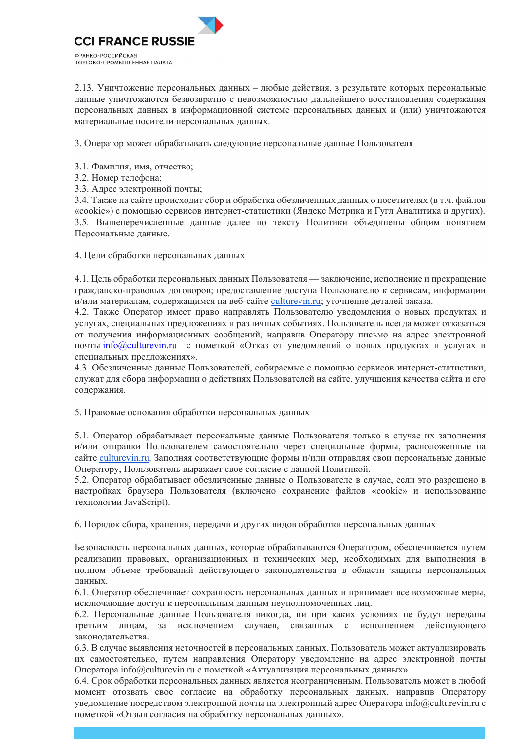

2.13. Уничтожение персональных данных – любые действия, в результате которых персональные данные уничтожаются безвозвратно с невозможностью дальнейшего восстановления содержания персональных данных в информационной системе персональных данных и (или) уничтожаются материальные носители персональных данных.

3. Оператор может обрабатывать следующие персональные данные Пользователя

- 3.1. Фамилия, имя, отчество;
- 3.2. Номер телефона;
- 3.3. Адрес электронной почты;

3.4. Также на сайте происходит сбор и обработка обезличенных данных о посетителях (в т.ч. файлов «cookie») с помощью сервисов интернет-статистики (Яндекс Метрика и Гугл Аналитика и других). 3.5. Вышеперечисленные данные далее по тексту Политики объединены общим понятием Персональные данные.

4. Цели обработки персональных данных

4.1. Цель обработки персональных данных Пользователя — заключение, исполнение и прекращение гражданско-правовых договоров; предоставление доступа Пользователю к сервисам, информации и/или материалам, содержащимся на веб-сайте culturevin.ru; уточнение деталей заказа.

4.2. Также Оператор имеет право направлять Пользователю уведомления о новых продуктах и услугах, специальных предложениях и различных событиях. Пользователь всегда может отказаться от получения информационных сообщений, направив Оператору письмо на адрес электронной почты info@culturevin.ru с пометкой «Отказ от уведомлений о новых продуктах и услугах и специальных предложениях».

4.3. Обезличенные данные Пользователей, собираемые с помощью сервисов интернет-статистики, служат для сбора информации о действиях Пользователей на сайте, улучшения качества сайта и его содержания.

5. Правовые основания обработки персональных данных

5.1. Оператор обрабатывает персональные данные Пользователя только в случае их заполнения и/или отправки Пользователем самостоятельно через специальные формы, расположенные на сайте culturevin.ru. Заполняя соответствующие формы и/или отправляя свои персональные данные Оператору, Пользователь выражает свое согласие с данной Политикой.

5.2. Оператор обрабатывает обезличенные данные о Пользователе в случае, если это разрешено в настройках браузера Пользователя (включено сохранение файлов «cookie» и использование технологии JavaScript).

6. Порядок сбора, хранения, передачи и других видов обработки персональных данных

Безопасность персональных данных, которые обрабатываются Оператором, обеспечивается путем реализации правовых, организационных и технических мер, необходимых для выполнения в полном объеме требований действующего законодательства в области защиты персональных данных.

6.1. Оператор обеспечивает сохранность персональных данных и принимает все возможные меры, исключающие доступ к персональным данным неуполномоченных лиц.

6.2. Персональные данные Пользователя никогда, ни при каких условиях не будут переданы за исключением случаев, связанных с исполнением действующего третьим лицам, законодательства.

6.3. В случае выявления неточностей в персональных данных, Пользователь может актуализировать их самостоятельно, путем направления Оператору уведомление на адрес электронной почты Оператора info@culturevin.ru с пометкой «Актуализация персональных данных».

6.4. Срок обработки персональных данных является неограниченным. Пользователь может в любой момент отозвать свое согласие на обработку персональных данных, направив Оператору уведомление посредством электронной почты на электронный адрес Оператора info@culturevin.ru с пометкой «Отзыв согласия на обработку персональных данных».